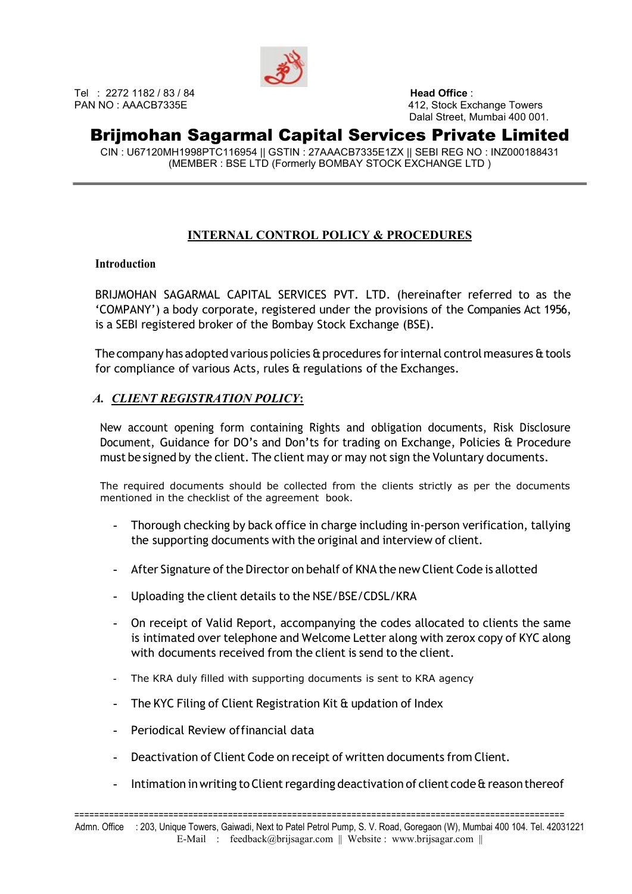

Tel : 2272 1182 / 83 / 84 **Head Office** :

PAN NO : AAACB7335E 412, Stock Exchange Towers Dalal Street, Mumbai 400 001.

### Brijmohan Sagarmal Capital Services Private Limited

CIN : U67120MH1998PTC116954 || GSTIN : 27AAACB7335E1ZX || SEBI REG NO : INZ000188431 (MEMBER : BSE LTD (Formerly BOMBAY STOCK EXCHANGE LTD )

### INTERNAL CONTROL POLICY & PROCEDURES

#### **Introduction**

BRIJMOHAN SAGARMAL CAPITAL SERVICES PVT. LTD. (hereinafter referred to as the 'COMPANY') a body corporate, registered under the provisions of the Companies Act 1956, is a SEBI registered broker of the Bombay Stock Exchange (BSE).

The company has adopted various policies & procedures for internal control measures & tools for compliance of various Acts, rules & regulations of the Exchanges.

#### A. CLIENT REGISTRATION POLICY:

New account opening form containing Rights and obligation documents, Risk Disclosure Document, Guidance for DO's and Don'ts for trading on Exchange, Policies & Procedure must be signed by the client. The client may or may not sign the Voluntary documents.

The required documents should be collected from the clients strictly as per the documents mentioned in the checklist of the agreement book.

- Thorough checking by back office in charge including in‐person verification, tallying the supporting documents with the original and interview of client.
- After Signature of the Director on behalf of KNA the new Client Code is allotted
- Uploading the client details to the NSE/BSE/CDSL/KRA
- On receipt of Valid Report, accompanying the codes allocated to clients the same is intimated over telephone and Welcome Letter along with zerox copy of KYC along with documents received from the client is send to the client.
- The KRA duly filled with supporting documents is sent to KRA agency
- The KYC Filing of Client Registration Kit & updation of Index
- Periodical Review of financial data
- Deactivation of Client Code on receipt of written documents from Client.
- Intimation in writing to Client regarding deactivation of client code & reason thereof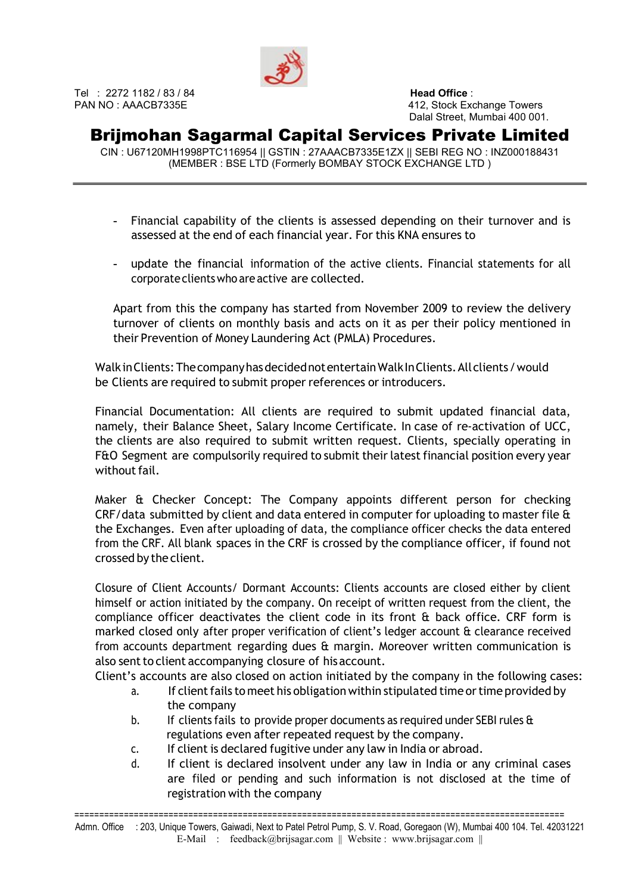

# Brijmohan Sagarmal Capital Services Private Limited

CIN : U67120MH1998PTC116954 || GSTIN : 27AAACB7335E1ZX || SEBI REG NO : INZ000188431 (MEMBER : BSE LTD (Formerly BOMBAY STOCK EXCHANGE LTD )

- Financial capability of the clients is assessed depending on their turnover and is assessed at the end of each financial year. For this KNA ensures to
- update the financial information of the active clients. Financial statements for all corporate clients who are active are collected.

Apart from this the company has started from November 2009 to review the delivery turnover of clients on monthly basis and acts on it as per their policy mentioned in their Prevention of Money Laundering Act (PMLA) Procedures.

Walk in Clients: The company has decided not entertain Walk In Clients. All clients / would be Clients are required to submit proper references or introducers.

Financial Documentation: All clients are required to submit updated financial data, namely, their Balance Sheet, Salary Income Certificate. In case of re‐activation of UCC, the clients are also required to submit written request. Clients, specially operating in F&O Segment are compulsorily required to submit their latest financial position every year without fail.

Maker & Checker Concept: The Company appoints different person for checking CRF/data submitted by client and data entered in computer for uploading to master file & the Exchanges. Even after uploading of data, the compliance officer checks the data entered from the CRF. All blank spaces in the CRF is crossed by the compliance officer, if found not crossed by the client.

Closure of Client Accounts/ Dormant Accounts: Clients accounts are closed either by client himself or action initiated by the company. On receipt of written request from the client, the compliance officer deactivates the client code in its front & back office. CRF form is marked closed only after proper verification of client's ledger account & clearance received from accounts department regarding dues & margin. Moreover written communication is also sent to client accompanying closure of his account.

Client's accounts are also closed on action initiated by the company in the following cases:

- a. If client fails to meet his obligation within stipulated time or time provided by the company
- b. If clients fails to provide proper documents as required under SEBI rules & regulations even after repeated request by the company.
- c. If client is declared fugitive under any law in India or abroad.
- d. If client is declared insolvent under any law in India or any criminal cases are filed or pending and such information is not disclosed at the time of registration with the company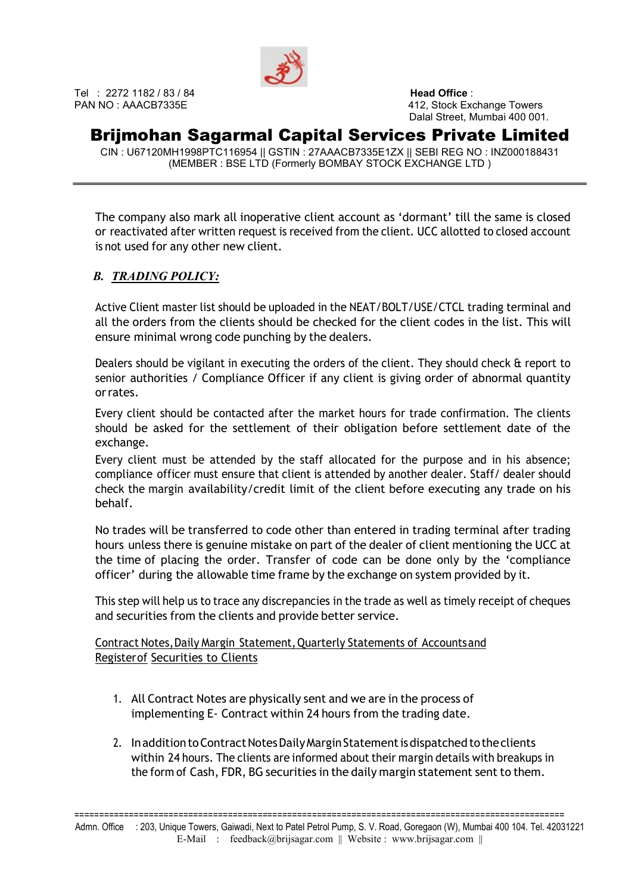

Tel : 2272 1182 / 83 / 84 **Head Office** :

PAN NO : AAACB7335E 412, Stock Exchange Towers Dalal Street, Mumbai 400 001.

# Brijmohan Sagarmal Capital Services Private Limited

CIN : U67120MH1998PTC116954 || GSTIN : 27AAACB7335E1ZX || SEBI REG NO : INZ000188431 (MEMBER : BSE LTD (Formerly BOMBAY STOCK EXCHANGE LTD )

The company also mark all inoperative client account as 'dormant' till the same is closed or reactivated after written request is received from the client. UCC allotted to closed account is not used for any other new client.

#### B. TRADING POLICY:

Active Client master list should be uploaded in the NEAT/BOLT/USE/CTCL trading terminal and all the orders from the clients should be checked for the client codes in the list. This will ensure minimal wrong code punching by the dealers.

Dealers should be vigilant in executing the orders of the client. They should check & report to senior authorities / Compliance Officer if any client is giving order of abnormal quantity or rates.

Every client should be contacted after the market hours for trade confirmation. The clients should be asked for the settlement of their obligation before settlement date of the exchange.

Every client must be attended by the staff allocated for the purpose and in his absence; compliance officer must ensure that client is attended by another dealer. Staff/ dealer should check the margin availability/credit limit of the client before executing any trade on his behalf.

No trades will be transferred to code other than entered in trading terminal after trading hours unless there is genuine mistake on part of the dealer of client mentioning the UCC at the time of placing the order. Transfer of code can be done only by the 'compliance officer' during the allowable time frame by the exchange on system provided by it.

This step will help us to trace any discrepancies in the trade as well as timely receipt of cheques and securities from the clients and provide better service.

Contract Notes, Daily Margin Statement, Quarterly Statements of Accounts and Register of Securities to Clients

- 1. All Contract Notes are physically sent and we are in the process of implementing E‐ Contract within 24 hours from the trading date.
- 2. In addition to Contract Notes Daily Margin Statement is dispatched to the clients within 24 hours. The clients are informed about their margin details with breakups in the form of Cash, FDR, BG securities in the daily margin statement sent to them.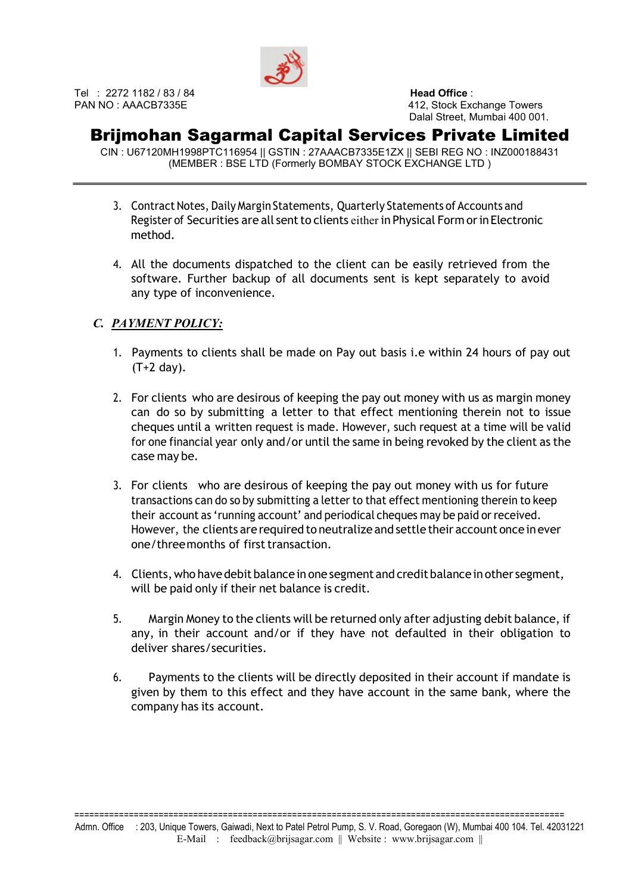

### Brijmohan Sagarmal Capital Services Private Limited

CIN : U67120MH1998PTC116954 || GSTIN : 27AAACB7335E1ZX || SEBI REG NO : INZ000188431 (MEMBER : BSE LTD (Formerly BOMBAY STOCK EXCHANGE LTD )

- 3. Contract Notes, Daily Margin Statements, Quarterly Statements of Accounts and Register of Securities are all sent to clients either in Physical Form or in Electronic method.
- 4. All the documents dispatched to the client can be easily retrieved from the software. Further backup of all documents sent is kept separately to avoid any type of inconvenience.

### C. PAYMENT POLICY:

- 1. Payments to clients shall be made on Pay out basis i.e within 24 hours of pay out (T+2 day).
- 2. For clients who are desirous of keeping the pay out money with us as margin money can do so by submitting a letter to that effect mentioning therein not to issue cheques until a written request is made. However, such request at a time will be valid for one financial year only and/or until the same in being revoked by the client as the case may be.
- 3. For clients who are desirous of keeping the pay out money with us for future transactions can do so by submitting a letter to that effect mentioning therein to keep their account as 'running account' and periodical cheques may be paid or received. However, the clients are required to neutralize and settle their account once in ever one/three months of first transaction.
- 4. Clients, who have debit balance in one segment and credit balance in other segment, will be paid only if their net balance is credit.
- 5. Margin Money to the clients will be returned only after adjusting debit balance, if any, in their account and/or if they have not defaulted in their obligation to deliver shares/securities.
- 6. Payments to the clients will be directly deposited in their account if mandate is given by them to this effect and they have account in the same bank, where the company has its account.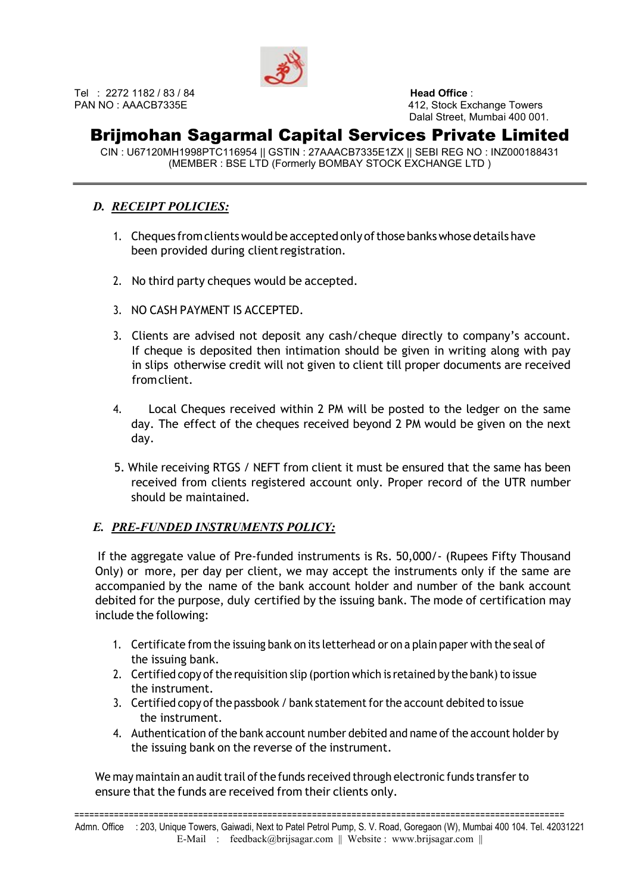

# Brijmohan Sagarmal Capital Services Private Limited

CIN : U67120MH1998PTC116954 || GSTIN : 27AAACB7335E1ZX || SEBI REG NO : INZ000188431 (MEMBER : BSE LTD (Formerly BOMBAY STOCK EXCHANGE LTD )

#### D. RECEIPT POLICIES:

- 1. Cheques from clients would be accepted only of those banks whose details have been provided during client registration.
- 2. No third party cheques would be accepted.
- 3. NO CASH PAYMENT IS ACCEPTED.
- 3. Clients are advised not deposit any cash/cheque directly to company's account. If cheque is deposited then intimation should be given in writing along with pay in slips otherwise credit will not given to client till proper documents are received **from client**
- 4. Local Cheques received within 2 PM will be posted to the ledger on the same day. The effect of the cheques received beyond 2 PM would be given on the next day.
- 5. While receiving RTGS / NEFT from client it must be ensured that the same has been received from clients registered account only. Proper record of the UTR number should be maintained.

### E. PRE-FUNDED INSTRUMENTS POLICY:

If the aggregate value of Pre‐funded instruments is Rs. 50,000/‐ (Rupees Fifty Thousand Only) or more, per day per client, we may accept the instruments only if the same are accompanied by the name of the bank account holder and number of the bank account debited for the purpose, duly certified by the issuing bank. The mode of certification may include the following:

- 1. Certificate from the issuing bank on its letterhead or on a plain paper with the seal of the issuing bank.
- 2. Certified copy of the requisition slip (portion which is retained by the bank) to issue the instrument.
- 3. Certified copy of the passbook / bank statement for the account debited to issue the instrument.
- 4. Authentication of the bank account number debited and name of the account holder by the issuing bank on the reverse of the instrument.

We may maintain an audit trail of the funds received through electronic funds transfer to ensure that the funds are received from their clients only.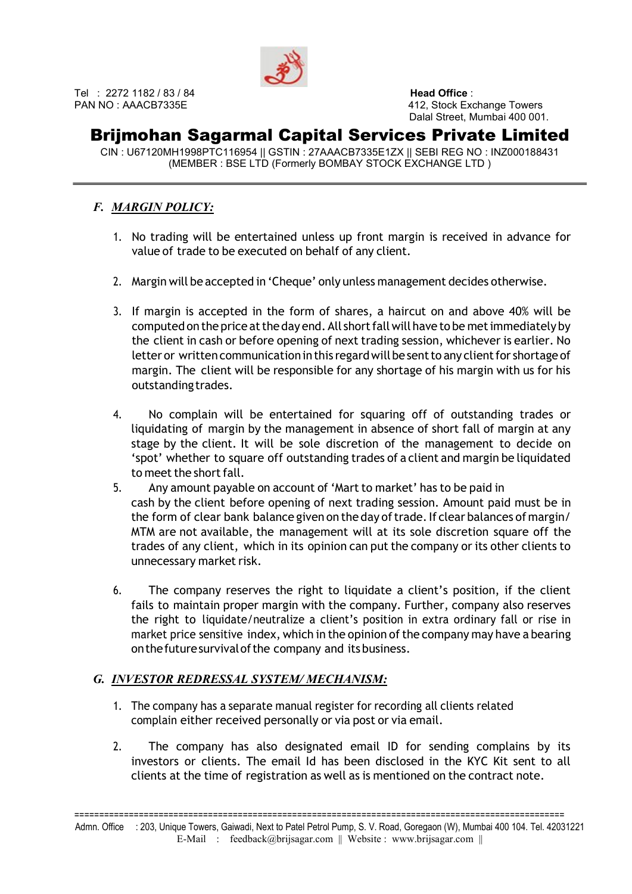

# Brijmohan Sagarmal Capital Services Private Limited

CIN : U67120MH1998PTC116954 || GSTIN : 27AAACB7335E1ZX || SEBI REG NO : INZ000188431 (MEMBER : BSE LTD (Formerly BOMBAY STOCK EXCHANGE LTD )

### F. MARGIN POLICY:

- 1. No trading will be entertained unless up front margin is received in advance for value of trade to be executed on behalf of any client.
- 2. Margin will be accepted in 'Cheque' only unless management decides otherwise.
- 3. If margin is accepted in the form of shares, a haircut on and above 40% will be computed on the price at the day end. All short fall will have to be met immediately by the client in cash or before opening of next trading session, whichever is earlier. No letter or written communication in this regard will be sent to any client for shortage of margin. The client will be responsible for any shortage of his margin with us for his outstanding trades.
- 4. No complain will be entertained for squaring off of outstanding trades or liquidating of margin by the management in absence of short fall of margin at any stage by the client. It will be sole discretion of the management to decide on 'spot' whether to square off outstanding trades of a client and margin be liquidated to meet the short fall.
- 5. Any amount payable on account of 'Mart to market' has to be paid in cash by the client before opening of next trading session. Amount paid must be in the form of clear bank balance given on the day of trade. If clear balances of margin/ MTM are not available, the management will at its sole discretion square off the trades of any client, which in its opinion can put the company or its other clients to unnecessary market risk.
- 6. The company reserves the right to liquidate a client's position, if the client fails to maintain proper margin with the company. Further, company also reserves the right to liquidate/neutralize a client's position in extra ordinary fall or rise in market price sensitive index, which in the opinion of the company may have a bearing on the future survival of the company and its business.

### G. INVESTOR REDRESSAL SYSTEM/ MECHANISM:

- 1. The company has a separate manual register for recording all clients related complain either received personally or via post or via email.
- 2. The company has also designated email ID for sending complains by its investors or clients. The email Id has been disclosed in the KYC Kit sent to all clients at the time of registration as well as is mentioned on the contract note.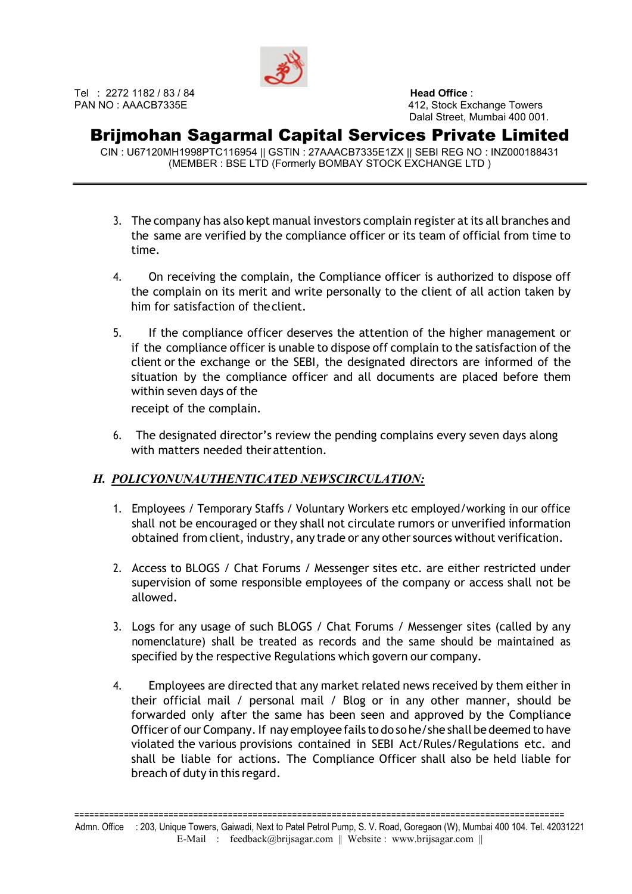

# Brijmohan Sagarmal Capital Services Private Limited

CIN : U67120MH1998PTC116954 || GSTIN : 27AAACB7335E1ZX || SEBI REG NO : INZ000188431 (MEMBER : BSE LTD (Formerly BOMBAY STOCK EXCHANGE LTD )

- 3. The company has also kept manual investors complain register at its all branches and the same are verified by the compliance officer or its team of official from time to time.
- 4. On receiving the complain, the Compliance officer is authorized to dispose off the complain on its merit and write personally to the client of all action taken by him for satisfaction of the client.
- 5. If the compliance officer deserves the attention of the higher management or if the compliance officer is unable to dispose off complain to the satisfaction of the client or the exchange or the SEBI, the designated directors are informed of the situation by the compliance officer and all documents are placed before them within seven days of the receipt of the complain.
- 6. The designated director's review the pending complains every seven days along with matters needed their attention.

### H. POLICYONUNAUTHENTICATED NEWSCIRCULATION:

- 1. Employees / Temporary Staffs / Voluntary Workers etc employed/working in our office shall not be encouraged or they shall not circulate rumors or unverified information obtained from client, industry, any trade or any other sources without verification.
- 2. Access to BLOGS / Chat Forums / Messenger sites etc. are either restricted under supervision of some responsible employees of the company or access shall not be allowed.
- 3. Logs for any usage of such BLOGS / Chat Forums / Messenger sites (called by any nomenclature) shall be treated as records and the same should be maintained as specified by the respective Regulations which govern our company.
- 4. Employees are directed that any market related news received by them either in their official mail / personal mail / Blog or in any other manner, should be forwarded only after the same has been seen and approved by the Compliance Officer of our Company. If nay employee fails to do so he/she shall be deemed to have violated the various provisions contained in SEBI Act/Rules/Regulations etc. and shall be liable for actions. The Compliance Officer shall also be held liable for breach of duty in this regard.